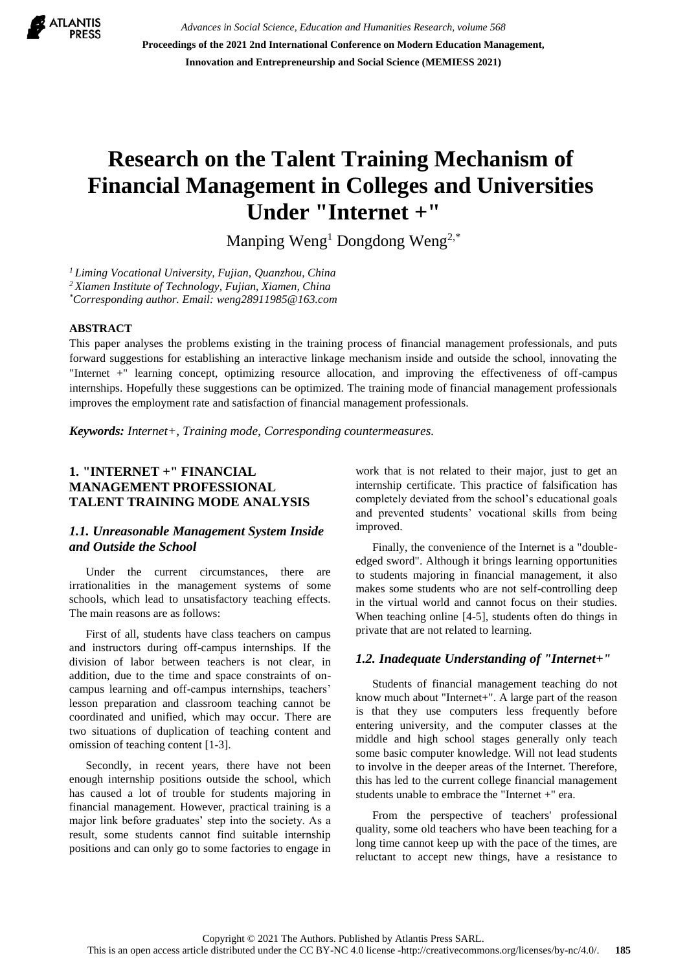

*Advances in Social Science, Education and Humanities Research, volume 568* **Proceedings of the 2021 2nd International Conference on Modern Education Management, Innovation and Entrepreneurship and Social Science (MEMIESS 2021)**

# **Research on the Talent Training Mechanism of Financial Management in Colleges and Universities Under "Internet +"**

Manping Weng<sup>1</sup> Dongdong Weng<sup>2,\*</sup>

*<sup>1</sup> Liming Vocational University, Fujian, Quanzhou, China*

*<sup>2</sup> Xiamen Institute of Technology, Fujian, Xiamen, China*

*\*Corresponding author. Email: weng28911985@163.com* 

#### **ABSTRACT**

This paper analyses the problems existing in the training process of financial management professionals, and puts forward suggestions for establishing an interactive linkage mechanism inside and outside the school, innovating the "Internet +" learning concept, optimizing resource allocation, and improving the effectiveness of off-campus internships. Hopefully these suggestions can be optimized. The training mode of financial management professionals improves the employment rate and satisfaction of financial management professionals.

*Keywords: Internet+, Training mode, Corresponding countermeasures.*

## **1. "INTERNET +" FINANCIAL MANAGEMENT PROFESSIONAL TALENT TRAINING MODE ANALYSIS**

### *1.1. Unreasonable Management System Inside and Outside the School*

Under the current circumstances, there are irrationalities in the management systems of some schools, which lead to unsatisfactory teaching effects. The main reasons are as follows:

First of all, students have class teachers on campus and instructors during off-campus internships. If the division of labor between teachers is not clear, in addition, due to the time and space constraints of oncampus learning and off-campus internships, teachers' lesson preparation and classroom teaching cannot be coordinated and unified, which may occur. There are two situations of duplication of teaching content and omission of teaching content [1-3].

Secondly, in recent years, there have not been enough internship positions outside the school, which has caused a lot of trouble for students majoring in financial management. However, practical training is a major link before graduates' step into the society. As a result, some students cannot find suitable internship positions and can only go to some factories to engage in work that is not related to their major, just to get an internship certificate. This practice of falsification has completely deviated from the school's educational goals and prevented students' vocational skills from being improved.

Finally, the convenience of the Internet is a "doubleedged sword". Although it brings learning opportunities to students majoring in financial management, it also makes some students who are not self-controlling deep in the virtual world and cannot focus on their studies. When teaching online [4-5], students often do things in private that are not related to learning.

#### *1.2. Inadequate Understanding of "Internet+"*

Students of financial management teaching do not know much about "Internet+". A large part of the reason is that they use computers less frequently before entering university, and the computer classes at the middle and high school stages generally only teach some basic computer knowledge. Will not lead students to involve in the deeper areas of the Internet. Therefore, this has led to the current college financial management students unable to embrace the "Internet +" era.

From the perspective of teachers' professional quality, some old teachers who have been teaching for a long time cannot keep up with the pace of the times, are reluctant to accept new things, have a resistance to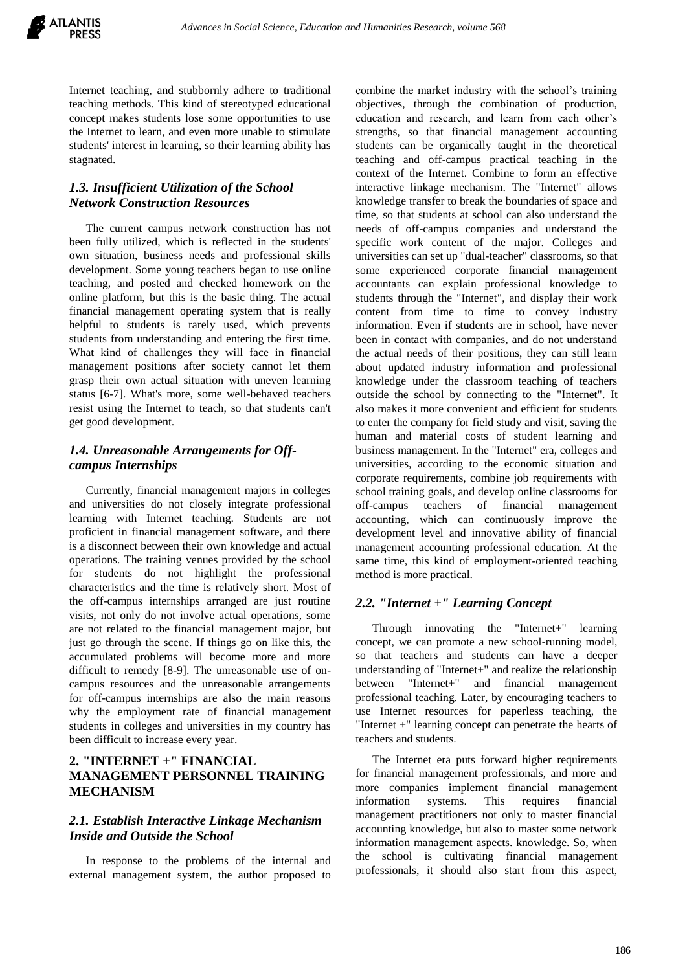Internet teaching, and stubbornly adhere to traditional teaching methods. This kind of stereotyped educational concept makes students lose some opportunities to use the Internet to learn, and even more unable to stimulate students' interest in learning, so their learning ability has stagnated.

## *1.3. Insufficient Utilization of the School Network Construction Resources*

The current campus network construction has not been fully utilized, which is reflected in the students' own situation, business needs and professional skills development. Some young teachers began to use online teaching, and posted and checked homework on the online platform, but this is the basic thing. The actual financial management operating system that is really helpful to students is rarely used, which prevents students from understanding and entering the first time. What kind of challenges they will face in financial management positions after society cannot let them grasp their own actual situation with uneven learning status [6-7]. What's more, some well-behaved teachers resist using the Internet to teach, so that students can't get good development.

## *1.4. Unreasonable Arrangements for Offcampus Internships*

Currently, financial management majors in colleges and universities do not closely integrate professional learning with Internet teaching. Students are not proficient in financial management software, and there is a disconnect between their own knowledge and actual operations. The training venues provided by the school for students do not highlight the professional characteristics and the time is relatively short. Most of the off-campus internships arranged are just routine visits, not only do not involve actual operations, some are not related to the financial management major, but just go through the scene. If things go on like this, the accumulated problems will become more and more difficult to remedy [8-9]. The unreasonable use of oncampus resources and the unreasonable arrangements for off-campus internships are also the main reasons why the employment rate of financial management students in colleges and universities in my country has been difficult to increase every year.

# **2. "INTERNET +" FINANCIAL MANAGEMENT PERSONNEL TRAINING MECHANISM**

## *2.1. Establish Interactive Linkage Mechanism Inside and Outside the School*

In response to the problems of the internal and external management system, the author proposed to combine the market industry with the school's training objectives, through the combination of production, education and research, and learn from each other's strengths, so that financial management accounting students can be organically taught in the theoretical teaching and off-campus practical teaching in the context of the Internet. Combine to form an effective interactive linkage mechanism. The "Internet" allows knowledge transfer to break the boundaries of space and time, so that students at school can also understand the needs of off-campus companies and understand the specific work content of the major. Colleges and universities can set up "dual-teacher" classrooms, so that some experienced corporate financial management accountants can explain professional knowledge to students through the "Internet", and display their work content from time to time to convey industry information. Even if students are in school, have never been in contact with companies, and do not understand the actual needs of their positions, they can still learn about updated industry information and professional knowledge under the classroom teaching of teachers outside the school by connecting to the "Internet". It also makes it more convenient and efficient for students to enter the company for field study and visit, saving the human and material costs of student learning and business management. In the "Internet" era, colleges and universities, according to the economic situation and corporate requirements, combine job requirements with school training goals, and develop online classrooms for off-campus teachers of financial management accounting, which can continuously improve the development level and innovative ability of financial management accounting professional education. At the same time, this kind of employment-oriented teaching method is more practical.

## *2.2. "Internet +" Learning Concept*

Through innovating the "Internet+" learning concept, we can promote a new school-running model, so that teachers and students can have a deeper understanding of "Internet+" and realize the relationship between "Internet+" and financial management professional teaching. Later, by encouraging teachers to use Internet resources for paperless teaching, the "Internet +" learning concept can penetrate the hearts of teachers and students.

The Internet era puts forward higher requirements for financial management professionals, and more and more companies implement financial management information systems. This requires financial management practitioners not only to master financial accounting knowledge, but also to master some network information management aspects. knowledge. So, when the school is cultivating financial management professionals, it should also start from this aspect,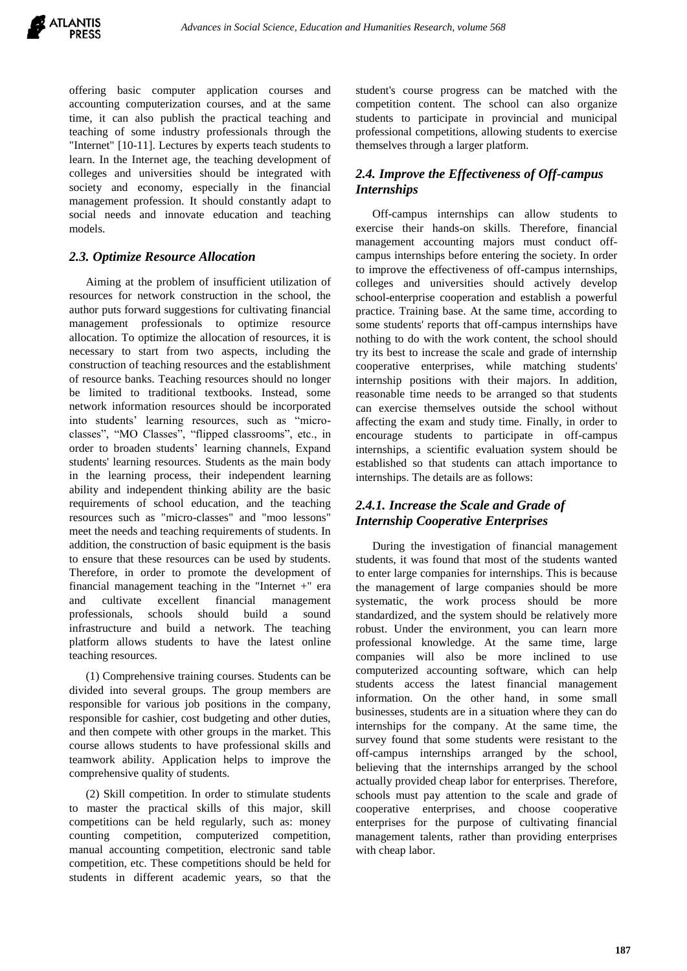offering basic computer application courses and accounting computerization courses, and at the same time, it can also publish the practical teaching and teaching of some industry professionals through the "Internet" [10-11]. Lectures by experts teach students to learn. In the Internet age, the teaching development of colleges and universities should be integrated with society and economy, especially in the financial management profession. It should constantly adapt to social needs and innovate education and teaching models.

## *2.3. Optimize Resource Allocation*

Aiming at the problem of insufficient utilization of resources for network construction in the school, the author puts forward suggestions for cultivating financial management professionals to optimize resource allocation. To optimize the allocation of resources, it is necessary to start from two aspects, including the construction of teaching resources and the establishment of resource banks. Teaching resources should no longer be limited to traditional textbooks. Instead, some network information resources should be incorporated into students' learning resources, such as "microclasses", "MO Classes", "flipped classrooms", etc., in order to broaden students' learning channels, Expand students' learning resources. Students as the main body in the learning process, their independent learning ability and independent thinking ability are the basic requirements of school education, and the teaching resources such as "micro-classes" and "moo lessons" meet the needs and teaching requirements of students. In addition, the construction of basic equipment is the basis to ensure that these resources can be used by students. Therefore, in order to promote the development of financial management teaching in the "Internet +" era and cultivate excellent financial management professionals, schools should build a sound infrastructure and build a network. The teaching platform allows students to have the latest online teaching resources.

(1) Comprehensive training courses. Students can be divided into several groups. The group members are responsible for various job positions in the company, responsible for cashier, cost budgeting and other duties, and then compete with other groups in the market. This course allows students to have professional skills and teamwork ability. Application helps to improve the comprehensive quality of students.

(2) Skill competition. In order to stimulate students to master the practical skills of this major, skill competitions can be held regularly, such as: money counting competition, computerized competition, manual accounting competition, electronic sand table competition, etc. These competitions should be held for students in different academic years, so that the

student's course progress can be matched with the competition content. The school can also organize students to participate in provincial and municipal professional competitions, allowing students to exercise themselves through a larger platform.

# *2.4. Improve the Effectiveness of Off-campus Internships*

Off-campus internships can allow students to exercise their hands-on skills. Therefore, financial management accounting majors must conduct offcampus internships before entering the society. In order to improve the effectiveness of off-campus internships, colleges and universities should actively develop school-enterprise cooperation and establish a powerful practice. Training base. At the same time, according to some students' reports that off-campus internships have nothing to do with the work content, the school should try its best to increase the scale and grade of internship cooperative enterprises, while matching students' internship positions with their majors. In addition, reasonable time needs to be arranged so that students can exercise themselves outside the school without affecting the exam and study time. Finally, in order to encourage students to participate in off-campus internships, a scientific evaluation system should be established so that students can attach importance to internships. The details are as follows:

# *2.4.1. Increase the Scale and Grade of Internship Cooperative Enterprises*

During the investigation of financial management students, it was found that most of the students wanted to enter large companies for internships. This is because the management of large companies should be more systematic, the work process should be more standardized, and the system should be relatively more robust. Under the environment, you can learn more professional knowledge. At the same time, large companies will also be more inclined to use computerized accounting software, which can help students access the latest financial management information. On the other hand, in some small businesses, students are in a situation where they can do internships for the company. At the same time, the survey found that some students were resistant to the off-campus internships arranged by the school, believing that the internships arranged by the school actually provided cheap labor for enterprises. Therefore, schools must pay attention to the scale and grade of cooperative enterprises, and choose cooperative enterprises for the purpose of cultivating financial management talents, rather than providing enterprises with cheap labor.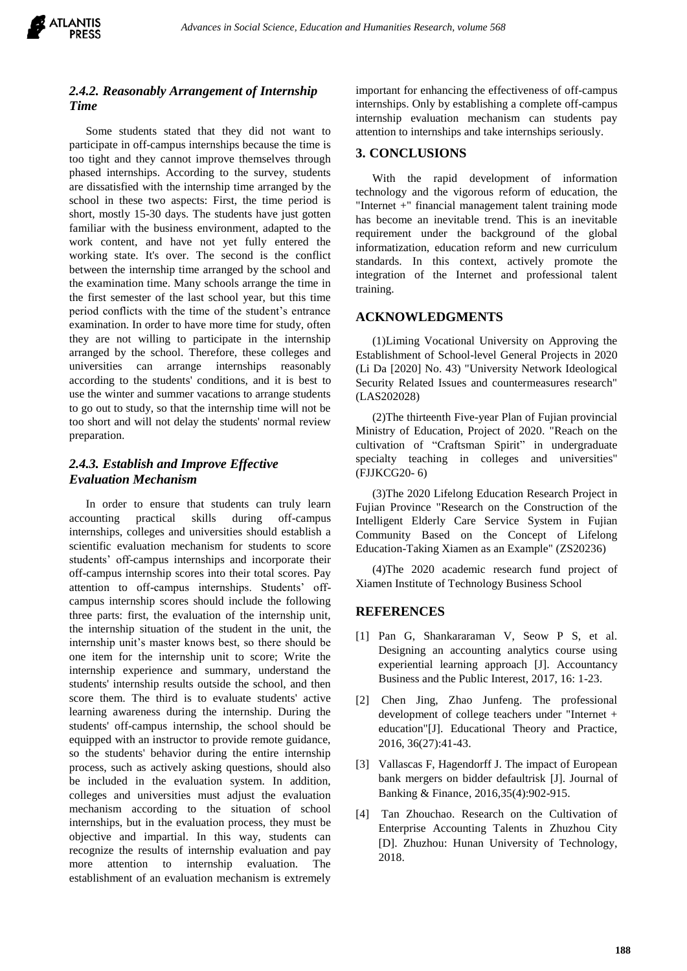

## *2.4.2. Reasonably Arrangement of Internship Time*

Some students stated that they did not want to participate in off-campus internships because the time is too tight and they cannot improve themselves through phased internships. According to the survey, students are dissatisfied with the internship time arranged by the school in these two aspects: First, the time period is short, mostly 15-30 days. The students have just gotten familiar with the business environment, adapted to the work content, and have not yet fully entered the working state. It's over. The second is the conflict between the internship time arranged by the school and the examination time. Many schools arrange the time in the first semester of the last school year, but this time period conflicts with the time of the student's entrance examination. In order to have more time for study, often they are not willing to participate in the internship arranged by the school. Therefore, these colleges and universities can arrange internships reasonably according to the students' conditions, and it is best to use the winter and summer vacations to arrange students to go out to study, so that the internship time will not be too short and will not delay the students' normal review preparation.

# *2.4.3. Establish and Improve Effective Evaluation Mechanism*

In order to ensure that students can truly learn accounting practical skills during off-campus internships, colleges and universities should establish a scientific evaluation mechanism for students to score students' off-campus internships and incorporate their off-campus internship scores into their total scores. Pay attention to off-campus internships. Students' offcampus internship scores should include the following three parts: first, the evaluation of the internship unit, the internship situation of the student in the unit, the internship unit's master knows best, so there should be one item for the internship unit to score; Write the internship experience and summary, understand the students' internship results outside the school, and then score them. The third is to evaluate students' active learning awareness during the internship. During the students' off-campus internship, the school should be equipped with an instructor to provide remote guidance, so the students' behavior during the entire internship process, such as actively asking questions, should also be included in the evaluation system. In addition, colleges and universities must adjust the evaluation mechanism according to the situation of school internships, but in the evaluation process, they must be objective and impartial. In this way, students can recognize the results of internship evaluation and pay more attention to internship evaluation. The establishment of an evaluation mechanism is extremely

important for enhancing the effectiveness of off-campus internships. Only by establishing a complete off-campus internship evaluation mechanism can students pay attention to internships and take internships seriously.

## **3. CONCLUSIONS**

With the rapid development of information technology and the vigorous reform of education, the "Internet +" financial management talent training mode has become an inevitable trend. This is an inevitable requirement under the background of the global informatization, education reform and new curriculum standards. In this context, actively promote the integration of the Internet and professional talent training.

### **ACKNOWLEDGMENTS**

(1)Liming Vocational University on Approving the Establishment of School-level General Projects in 2020 (Li Da [2020] No. 43) "University Network Ideological Security Related Issues and countermeasures research" (LAS202028)

(2)The thirteenth Five-year Plan of Fujian provincial Ministry of Education, Project of 2020. "Reach on the cultivation of "Craftsman Spirit" in undergraduate specialty teaching in colleges and universities" (FJJKCG20- 6)

(3)The 2020 Lifelong Education Research Project in Fujian Province "Research on the Construction of the Intelligent Elderly Care Service System in Fujian Community Based on the Concept of Lifelong Education-Taking Xiamen as an Example" (ZS20236)

(4)The 2020 academic research fund project of Xiamen Institute of Technology Business School

#### **REFERENCES**

- [1] Pan G, Shankararaman V, Seow P S, et al. Designing an accounting analytics course using experiential learning approach [J]. Accountancy Business and the Public Interest, 2017, 16: 1-23.
- [2] Chen Jing, Zhao Junfeng. The professional development of college teachers under "Internet + education"[J]. Educational Theory and Practice, 2016, 36(27):41-43.
- [3] Vallascas F, Hagendorff J. The impact of European bank mergers on bidder defaultrisk [J]. Journal of Banking & Finance, 2016,35(4):902-915.
- [4] Tan Zhouchao. Research on the Cultivation of Enterprise Accounting Talents in Zhuzhou City [D]. Zhuzhou: Hunan University of Technology, 2018.